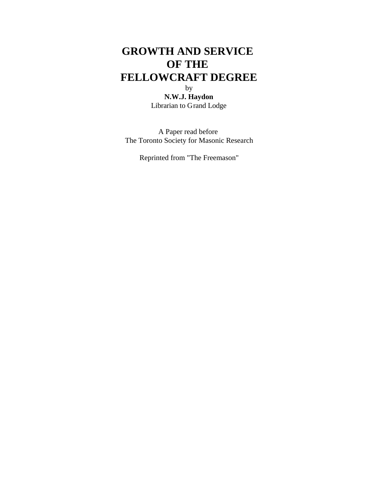# **GROWTH AND SERVICE OF THE FELLOWCRAFT DEGREE** by

**N.W.J. Haydon** Librarian to Grand Lodge

A Paper read before The Toronto Society for Masonic Research

Reprinted from "The Freemason"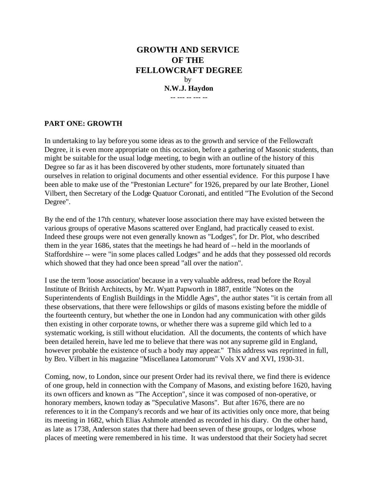# **GROWTH AND SERVICE OF THE FELLOWCRAFT DEGREE** by **N.W.J. Haydon** -- --- -- --- --

# **PART ONE: GROWTH**

In undertaking to lay before you some ideas as to the growth and service of the Fellowcraft Degree, it is even more appropriate on this occasion, before a gathering of Masonic students, than might be suitable for the usual lodge meeting, to begin with an outline of the history of this Degree so far as it has been discovered by other students, more fortunately situated than ourselves in relation to original documents and other essential evidence. For this purpose I have been able to make use of the "Prestonian Lecture" for 1926, prepared by our late Brother, Lionel Vilbert, then Secretary of the Lodge Quatuor Coronati, and entitled "The Evolution of the Second Degree".

By the end of the 17th century, whatever loose association there may have existed between the various groups of operative Masons scattered over England, had practically ceased to exist. Indeed these groups were not even generally known as "Lodges", for Dr. Plot, who described them in the year 1686, states that the meetings he had heard of -- held in the moorlands of Staffordshire -- were "in some places called Lodges" and he adds that they possessed old records which showed that they had once been spread "all over the nation".

I use the term 'loose association' because in a very valuable address, read before the Royal Institute of British Architects, by Mr. Wyatt Papworth in 1887, entitle "Notes on the Superintendents of English Buildings in the Middle Ages", the author states "it is certain from all these observations, that there were fellowships or gilds of masons existing before the middle of the fourteenth century, but whether the one in London had any communication with other gilds then existing in other corporate towns, or whether there was a supreme gild which led to a systematic working, is still without elucidation. All the documents, the contents of which have been detailed herein, have led me to believe that there was not any supreme gild in England, however probable the existence of such a body may appear." This address was reprinted in full, by Bro. Vilbert in his magazine "Miscellanea Latomorum" Vols XV and XVI, 1930-31.

Coming, now, to London, since our present Order had its revival there, we find there is evidence of one group, held in connection with the Company of Masons, and existing before 1620, having its own officers and known as "The Acception", since it was composed of non-operative, or honorary members, known today as "Speculative Masons". But after 1676, there are no references to it in the Company's records and we hear of its activities only once more, that being its meeting in 1682, which Elias Ashmole attended as recorded in his diary. On the other hand, as late as 1738, Anderson states that there had been seven of these groups, or lodges, whose places of meeting were remembered in his time. It was understood that their Society had secret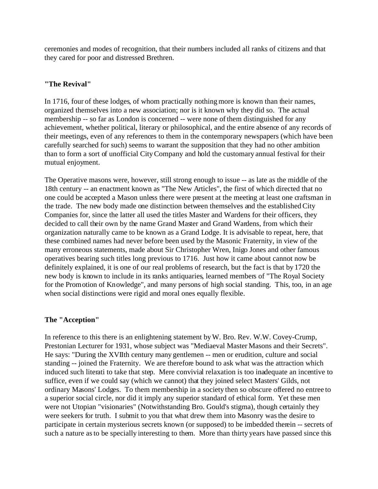ceremonies and modes of recognition, that their numbers included all ranks of citizens and that they cared for poor and distressed Brethren.

## **"The Revival"**

In 1716, four of these lodges, of whom practically nothing more is known than their names, organized themselves into a new association; nor is it known why they did so. The actual membership -- so far as London is concerned -- were none of them distinguished for any achievement, whether political, literary or philosophical, and the entire absence of any records of their meetings, even of any references to them in the contemporary newspapers (which have been carefully searched for such) seems to warrant the supposition that they had no other ambition than to form a sort of unofficial City Company and hold the customary annual festival for their mutual enjoyment.

The Operative masons were, however, still strong enough to issue -- as late as the middle of the 18th century -- an enactment known as "The New Articles", the first of which directed that no one could be accepted a Mason unless there were present at the meeting at least one craftsman in the trade. The new body made one distinction between themselves and the established City Companies for, since the latter all used the titles Master and Wardens for their officers, they decided to call their own by the name Grand Master and Grand Wardens, from which their organization naturally came to be known as a Grand Lodge. It is advisable to repeat, here, that these combined names had never before been used by the Masonic Fraternity, in view of the many erroneous statements, made about Sir Christopher Wren, Inigo Jones and other famous operatives bearing such titles long previous to 1716. Just how it came about cannot now be definitely explained, it is one of our real problems of research, but the fact is that by 1720 the new body is known to include in its ranks antiquaries, learned members of "The Royal Society for the Promotion of Knowledge", and many persons of high social standing. This, too, in an age when social distinctions were rigid and moral ones equally flexible.

## **The "Acception"**

In reference to this there is an enlightening statement by W. Bro. Rev. W.W. Covey-Crump, Prestonian Lecturer for 1931, whose subject was "Mediaeval Master Masons and their Secrets". He says: "During the XVIIth century many gentlemen -- men or erudition, culture and social standing -- joined the Fraternity. We are therefore bound to ask what was the attraction which induced such literati to take that step. Mere convivial relaxation is too inadequate an incentive to suffice, even if we could say (which we cannot) that they joined select Masters' Gilds, not ordinary Masons' Lodges. To them membership in a society then so obscure offered no entree to a superior social circle, nor did it imply any superior standard of ethical form. Yet these men were not Utopian "visionaries" (Notwithstanding Bro. Gould's stigma), though certainly they were seekers for truth. I submit to you that what drew them into Masonry was the desire to participate in certain mysterious secrets known (or supposed) to be imbedded therein -- secrets of such a nature as to be specially interesting to them. More than thirty years have passed since this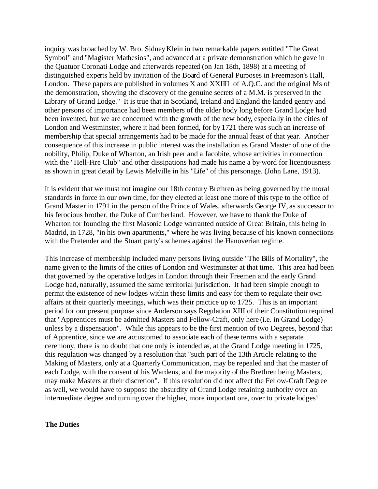inquiry was broached by W. Bro. Sidney Klein in two remarkable papers entitled "The Great Symbol" and "Magister Mathesios", and advanced at a private demonstration which he gave in the Quatuor Coronati Lodge and afterwards repeated (on Jan 18th, 1898) at a meeting of distinguished experts held by invitation of the Board of General Purposes in Freemason's Hall, London. These papers are published in volumes X and XXIIII of A.Q.C. and the original Ms of the demonstration, showing the discovery of the genuine secrets of a M.M. is preserved in the Library of Grand Lodge." It is true that in Scotland, Ireland and England the landed gentry and other persons of importance had been members of the older body long before Grand Lodge had been invented, but we are concerned with the growth of the new body, especially in the cities of London and Westminster, where it had been formed, for by 1721 there was such an increase of membership that special arrangements had to be made for the annual feast of that year. Another consequence of this increase in public interest was the installation as Grand Master of one of the nobility, Philip, Duke of Wharton, an Irish peer and a Jacobite, whose activities in connection with the "Hell-Fire Club" and other dissipations had made his name a by-word for licentiousness as shown in great detail by Lewis Melville in his "Life" of this personage. (John Lane, 1913).

It is evident that we must not imagine our 18th century Brethren as being governed by the moral standards in force in our own time, for they elected at least one more of this type to the office of Grand Master in 1791 in the person of the Prince of Wales, afterwards George IV, as successor to his ferocious brother, the Duke of Cumberland. However, we have to thank the Duke of Wharton for founding the first Masonic Lodge warranted outside of Great Britain, this being in Madrid, in 1728, "in his own apartments," where he was living because of his known connections with the Pretender and the Stuart party's schemes against the Hanoverian regime.

This increase of membership included many persons living outside "The Bills of Mortality", the name given to the limits of the cities of London and Westminster at that time. This area had been that governed by the operative lodges in London through their Freemen and the early Grand Lodge had, naturally, assumed the same territorial jurisdiction. It had been simple enough to permit the existence of new lodges within these limits and easy for them to regulate their own affairs at their quarterly meetings, which was their practice up to 1725. This is an important period for our present purpose since Anderson says Regulation XIII of their Constitution required that "Apprentices must be admitted Masters and Fellow-Craft, only here (i.e. in Grand Lodge) unless by a dispensation". While this appears to be the first mention of two Degrees, beyond that of Apprentice, since we are accustomed to associate each of these terms with a separate ceremony, there is no doubt that one only is intended as, at the Grand Lodge meeting in 1725, this regulation was changed by a resolution that "such part of the 13th Article relating to the Making of Masters, only at a Quarterly Communication, may be repealed and that the master of each Lodge, with the consent of his Wardens, and the majority of the Brethren being Masters, may make Masters at their discretion". If this resolution did not affect the Fellow-Craft Degree as well, we would have to suppose the absurdity of Grand Lodge retaining authority over an intermediate degree and turning over the higher, more important one, over to private lodges!

#### **The Duties**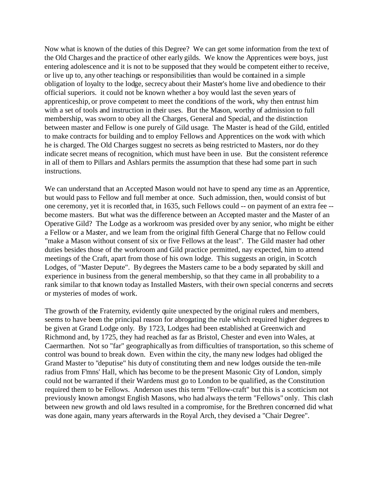Now what is known of the duties of this Degree? We can get some information from the text of the Old Charges and the practice of other early gilds. We know the Apprentices were boys, just entering adolescence and it is not to be supposed that they would be competent either to receive, or live up to, any other teachings or responsibilities than would be contained in a simple obligation of loyalty to the lodge, secrecy about their Master's home live and obedience to their official superiors. it could not be known whether a boy would last the seven years of apprenticeship, or prove competent to meet the conditions of the work, why then entrust him with a set of tools and instruction in their uses. But the Mason, worthy of admission to full membership, was sworn to obey all the Charges, General and Special, and the distinction between master and Fellow is one purely of Gild usage. The Master is head of the Gild, entitled to make contracts for building and to employ Fellows and Apprentices on the work with which he is charged. The Old Charges suggest no secrets as being restricted to Masters, nor do they indicate secret means of recognition, which must have been in use. But the consistent reference in all of them to Pillars and Ashlars permits the assumption that these had some part in such instructions.

We can understand that an Accepted Mason would not have to spend any time as an Apprentice, but would pass to Fellow and full member at once. Such admission, then, would consist of but one ceremony, yet it is recorded that, in 1635, such Fellows could -- on payment of an extra fee - become masters. But what was the difference between an Accepted master and the Master of an Operative Gild? The Lodge as a workroom was presided over by any senior, who might be either a Fellow or a Master, and we learn from the original fifth General Charge that no Fellow could "make a Mason without consent of six or five Fellows at the least". The Gild master had other duties besides those of the workroom and Gild practice permitted, nay expected, him to attend meetings of the Craft, apart from those of his own lodge. This suggests an origin, in Scotch Lodges, of "Master Depute". By degrees the Masters came to be a body separated by skill and experience in business from the general membership, so that they came in all probability to a rank similar to that known today as Installed Masters, with their own special concerns and secrets or mysteries of modes of work.

The growth of the Fraternity, evidently quite unexpected by the original rulers and members, seems to have been the principal reason for abrogating the rule which required higher degrees to be given at Grand Lodge only. By 1723, Lodges had been established at Greenwich and Richmond and, by 1725, they had reached as far as Bristol, Chester and even into Wales, at Caermarthen. Not so "far" geographically as from difficulties of transportation, so this scheme of control was bound to break down. Even within the city, the many new lodges had obliged the Grand Master to "deputise" his duty of constituting them and new lodges outside the ten-mile radius from F'mns' Hall, which has become to be the present Masonic City of London, simply could not be warranted if their Wardens must go to London to be qualified, as the Constitution required them to be Fellows. Anderson uses this term "Fellow-craft" but this is a scotticism not previously known amongst English Masons, who had always the term "Fellows" only. This clash between new growth and old laws resulted in a compromise, for the Brethren concerned did what was done again, many years afterwards in the Royal Arch, they devised a "Chair Degree".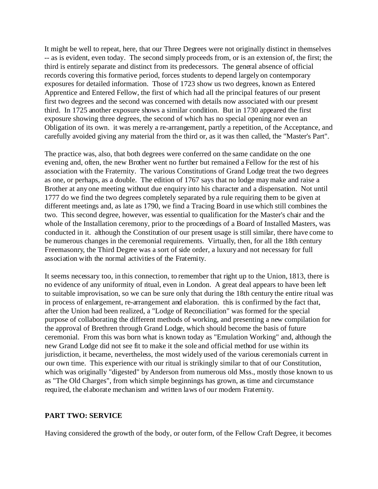It might be well to repeat, here, that our Three Degrees were not originally distinct in themselves -- as is evident, even today. The second simply proceeds from, or is an extension of, the first; the third is entirely separate and distinct from its predecessors. The general absence of official records covering this formative period, forces students to depend largely on contemporary exposures for detailed information. Those of 1723 show us two degrees, known as Entered Apprentice and Entered Fellow, the first of which had all the principal features of our present first two degrees and the second was concerned with details now associated with our present third. In 1725 another exposure shows a similar condition. But in 1730 appeared the first exposure showing three degrees, the second of which has no special opening nor even an Obligation of its own. it was merely a re-arrangement, partly a repetition, of the Acceptance, and carefully avoided giving any material from the third or, as it was then called, the "Master's Part".

The practice was, also, that both degrees were conferred on the same candidate on the one evening and, often, the new Brother went no further but remained a Fellow for the rest of his association with the Fraternity. The various Constitutions of Grand Lodge treat the two degrees as one, or perhaps, as a double. The edition of 1767 says that no lodge may make and raise a Brother at any one meeting without due enquiry into his character and a dispensation. Not until 1777 do we find the two degrees completely separated by a rule requiring them to be given at different meetings and, as late as 1790, we find a Tracing Board in use which still combines the two. This second degree, however, was essential to qualification for the Master's chair and the whole of the Installation ceremony, prior to the proceedings of a Board of Installed Masters, was conducted in it. although the Constitution of our present usage is still similar, there have come to be numerous changes in the ceremonial requirements. Virtually, then, for all the 18th century Freemasonry, the Third Degree was a sort of side order, a luxury and not necessary for full association with the normal activities of the Fraternity.

It seems necessary too, in this connection, to remember that right up to the Union, 1813, there is no evidence of any uniformity of ritual, even in London. A great deal appears to have been left to suitable improvisation, so we can be sure only that during the 18th century the entire ritual was in process of enlargement, re-arrangement and elaboration. this is confirmed by the fact that, after the Union had been realized, a "Lodge of Reconciliation" was formed for the special purpose of collaborating the different methods of working, and presenting a new compilation for the approval of Brethren through Grand Lodge, which should become the basis of future ceremonial. From this was born what is known today as "Emulation Working" and, although the new Grand Lodge did not see fit to make it the sole and official method for use within its jurisdiction, it became, nevertheless, the most widely used of the various ceremonials current in our own time. This experience with our ritual is strikingly similar to that of our Constitution, which was originally "digested" by Anderson from numerous old Mss., mostly those known to us as "The Old Charges", from which simple beginnings has grown, as time and circumstance required, the elaborate mechanism and written laws of our modern Fraternity.

#### **PART TWO: SERVICE**

Having considered the growth of the body, or outer form, of the Fellow Craft Degree, it becomes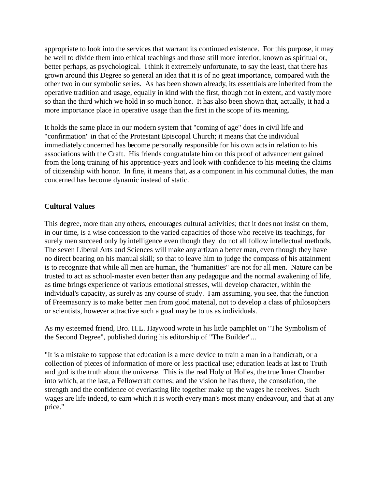appropriate to look into the services that warrant its continued existence. For this purpose, it may be well to divide them into ethical teachings and those still more interior, known as spiritual or, better perhaps, as psychological. I think it extremely unfortunate, to say the least, that there has grown around this Degree so general an idea that it is of no great importance, compared with the other two in our symbolic series. As has been shown already, its essentials are inherited from the operative tradition and usage, equally in kind with the first, though not in extent, and vastly more so than the third which we hold in so much honor. It has also been shown that, actually, it had a more importance place in operative usage than the first in the scope of its meaning.

It holds the same place in our modern system that "coming of age" does in civil life and "confirmation" in that of the Protestant Episcopal Church; it means that the individual immediately concerned has become personally responsible for his own acts in relation to his associations with the Craft. His friends congratulate him on this proof of advancement gained from the long training of his apprentice-years and look with confidence to his meeting the claims of citizenship with honor. In fine, it means that, as a component in his communal duties, the man concerned has become dynamic instead of static.

## **Cultural Values**

This degree, more than any others, encourages cultural activities; that it does not insist on them, in our time, is a wise concession to the varied capacities of those who receive its teachings, for surely men succeed only by intelligence even though they do not all follow intellectual methods. The seven Liberal Arts and Sciences will make any artizan a better man, even though they have no direct bearing on his manual skill; so that to leave him to judge the compass of his attainment is to recognize that while all men are human, the "humanities" are not for all men. Nature can be trusted to act as school-master even better than any pedagogue and the normal awakening of life, as time brings experience of various emotional stresses, will develop character, within the individual's capacity, as surely as any course of study. I am assuming, you see, that the function of Freemasonry is to make better men from good material, not to develop a class of philosophers or scientists, however attractive such a goal may be to us as individuals.

As my esteemed friend, Bro. H.L. Haywood wrote in his little pamphlet on "The Symbolism of the Second Degree", published during his editorship of "The Builder"...

"It is a mistake to suppose that education is a mere device to train a man in a handicraft, or a collection of pieces of information of more or less practical use; education leads at last to Truth and god is the truth about the universe. This is the real Holy of Holies, the true Inner Chamber into which, at the last, a Fellowcraft comes; and the vision he has there, the consolation, the strength and the confidence of everlasting life together make up the wages he receives. Such wages are life indeed, to earn which it is worth every man's most many endeavour, and that at any price."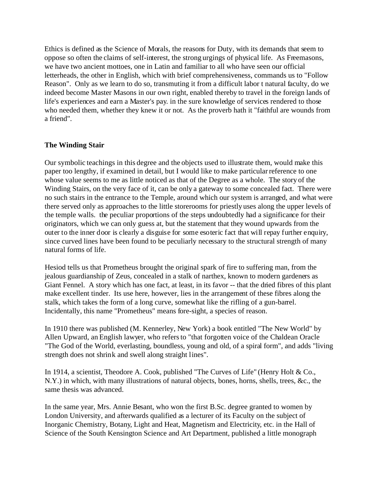Ethics is defined as the Science of Morals, the reasons for Duty, with its demands that seem to oppose so often the claims of self-interest, the strong urgings of physical life. As Freemasons, we have two ancient mottoes, one in Latin and familiar to all who have seen our official letterheads, the other in English, which with brief comprehensiveness, commands us to "Follow Reason". Only as we learn to do so, transmuting it from a difficult labor t natural faculty, do we indeed become Master Masons in our own right, enabled thereby to travel in the foreign lands of life's experiences and earn a Master's pay. in the sure knowledge of services rendered to those who needed them, whether they knew it or not. As the proverb hath it "faithful are wounds from a friend".

#### **The Winding Stair**

Our symbolic teachings in this degree and the objects used to illustrate them, would make this paper too lengthy, if examined in detail, but I would like to make particular reference to one whose value seems to me as little noticed as that of the Degree as a whole. The story of the Winding Stairs, on the very face of it, can be only a gateway to some concealed fact. There were no such stairs in the entrance to the Temple, around which our system is arranged, and what were there served only as approaches to the little storerooms for priestly uses along the upper levels of the temple walls. the peculiar proportions of the steps undoubtedly had a significance for their originators, which we can only guess at, but the statement that they wound upwards from the outer to the inner door is clearly a disguise for some esoteric fact that will repay further enquiry, since curved lines have been found to be peculiarly necessary to the structural strength of many natural forms of life.

Hesiod tells us that Prometheus brought the original spark of fire to suffering man, from the jealous guardianship of Zeus, concealed in a stalk of narthex, known to modern gardeners as Giant Fennel. A story which has one fact, at least, in its favor -- that the dried fibres of this plant make excellent tinder. Its use here, however, lies in the arrangement of these fibres along the stalk, which takes the form of a long curve, somewhat like the rifling of a gun-barrel. Incidentally, this name "Prometheus" means fore-sight, a species of reason.

In 1910 there was published (M. Kennerley, New York) a book entitled "The New World" by Allen Upward, an English lawyer, who refers to "that forgotten voice of the Chaldean Oracle "The God of the World, everlasting, boundless, young and old, of a spiral form", and adds "living strength does not shrink and swell along straight lines".

In 1914, a scientist, Theodore A. Cook, published "The Curves of Life" (Henry Holt & Co., N.Y.) in which, with many illustrations of natural objects, bones, horns, shells, trees, &c., the same thesis was advanced.

In the same year, Mrs. Annie Besant, who won the first B.Sc. degree granted to women by London University, and afterwards qualified as a lecturer of its Faculty on the subject of Inorganic Chemistry, Botany, Light and Heat, Magnetism and Electricity, etc. in the Hall of Science of the South Kensington Science and Art Department, published a little monograph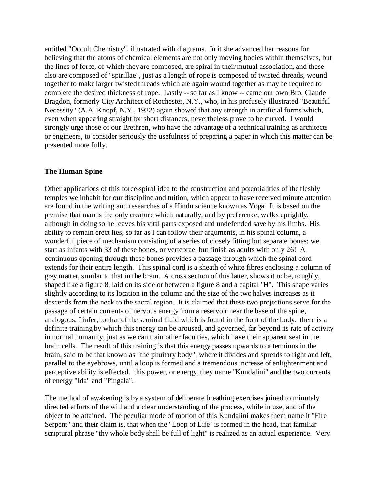entitled "Occult Chemistry", illustrated with diagrams. In it she advanced her reasons for believing that the atoms of chemical elements are not only moving bodies within themselves, but the lines of force, of which they are composed, are spiral in their mutual association, and these also are composed of "spirillae", just as a length of rope is composed of twisted threads, wound together to make larger twisted threads which are again wound together as may be required to complete the desired thickness of rope. Lastly -- so far as I know -- came our own Bro. Claude Bragdon, formerly City Architect of Rochester, N.Y., who, in his profusely illustrated "Beautiful Necessity" (A.A. Knopf, N.Y., 1922) again showed that any strength in artificial forms which, even when appearing straight for short distances, nevertheless prove to be curved. I would strongly urge those of our Brethren, who have the advantage of a technical training as architects or engineers, to consider seriously the usefulness of preparing a paper in which this matter can be presented more fully.

#### **The Human Spine**

Other applications of this force-spiral idea to the construction and potentialities of the fleshly temples we inhabit for our discipline and tuition, which appear to have received minute attention are found in the writing and researches of a Hindu science known as Yoga. It is based on the premise that man is the only creature which naturally, and by preference, walks uprightly, although in doing so he leaves his vital parts exposed and undefended save by his limbs. His ability to remain erect lies, so far as I can follow their arguments, in his spinal column, a wonderful piece of mechanism consisting of a series of closely fitting but separate bones; we start as infants with 33 of these bones, or vertebrae, but finish as adults with only 26! A continuous opening through these bones provides a passage through which the spinal cord extends for their entire length. This spinal cord is a sheath of white fibres enclosing a column of grey matter, similar to that in the brain. A cross section of this latter, shows it to be, roughly, shaped like a figure 8, laid on its side or between a figure 8 and a capital "H". This shape varies slightly according to its location in the column and the size of the two halves increases as it descends from the neck to the sacral region. It is claimed that these two projections serve for the passage of certain currents of nervous energy from a reservoir near the base of the spine, analogous, I infer, to that of the seminal fluid which is found in the front of the body. there is a definite training by which this energy can be aroused, and governed, far beyond its rate of activity in normal humanity, just as we can train other faculties, which have their apparent seat in the brain cells. The result of this training is that this energy passes upwards to a terminus in the brain, said to be that known as "the pituitary body", where it divides and spreads to right and left, parallel to the eyebrows, until a loop is formed and a tremendous increase of enlightenment and perceptive ability is effected. this power, or energy, they name "Kundalini" and the two currents of energy "Ida" and "Pingala".

The method of awakening is by a system of deliberate breathing exercises joined to minutely directed efforts of the will and a clear understanding of the process, while in use, and of the object to be attained. The peculiar mode of motion of this Kundalini makes them name it "Fire Serpent" and their claim is, that when the "Loop of Life" is formed in the head, that familiar scriptural phrase "thy whole body shall be full of light" is realized as an actual experience. Very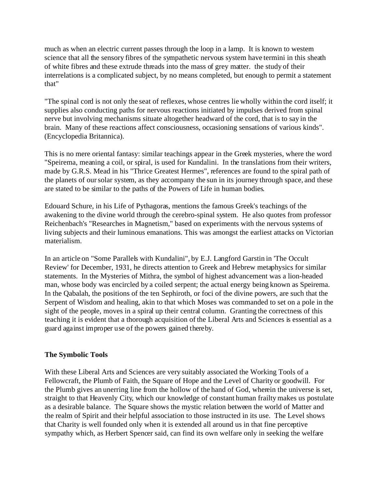much as when an electric current passes through the loop in a lamp. It is known to western science that all the sensory fibres of the sympathetic nervous system have termini in this sheath of white fibres and these extrude threads into the mass of grey matter. the study of their interrelations is a complicated subject, by no means completed, but enough to permit a statement that"

"The spinal cord is not only the seat of reflexes, whose centres lie wholly within the cord itself; it supplies also conducting paths for nervous reactions initiated by impulses derived from spinal nerve but involving mechanisms situate altogether headward of the cord, that is to say in the brain. Many of these reactions affect consciousness, occasioning sensations of various kinds". (Encyclopedia Britannica).

This is no mere oriental fantasy: similar teachings appear in the Greek mysteries, where the word "Speirema, meaning a coil, or spiral, is used for Kundalini. In the translations from their writers, made by G.R.S. Mead in his "Thrice Greatest Hermes", references are found to the spiral path of the planets of our solar system, as they accompany the sun in its journey through space, and these are stated to be similar to the paths of the Powers of Life in human bodies.

Edouard Schure, in his Life of Pythagoras, mentions the famous Greek's teachings of the awakening to the divine world through the cerebro-spinal system. He also quotes from professor Reichenbach's "Researches in Magnetism," based on experiments with the nervous systems of living subjects and their luminous emanations. This was amongst the earliest attacks on Victorian materialism.

In an article on "Some Parallels with Kundalini", by E.J. Langford Garstin in 'The Occult Review' for December, 1931, he directs attention to Greek and Hebrew metaphysics for similar statements. In the Mysteries of Mithra, the symbol of highest advancement was a lion-headed man, whose body was encircled by a coiled serpent; the actual energy being known as Speirema. In the Qabalah, the positions of the ten Sephiroth, or foci of the divine powers, are such that the Serpent of Wisdom and healing, akin to that which Moses was commanded to set on a pole in the sight of the people, moves in a spiral up their central column. Granting the correctness of this teaching it is evident that a thorough acquisition of the Liberal Arts and Sciences is essential as a guard against improper use of the powers gained thereby.

#### **The Symbolic Tools**

With these Liberal Arts and Sciences are very suitably associated the Working Tools of a Fellowcraft, the Plumb of Faith, the Square of Hope and the Level of Charity or goodwill. For the Plumb gives an unerring line from the hollow of the hand of God, wherein the universe is set, straight to that Heavenly City, which our knowledge of constant human frailty makes us postulate as a desirable balance. The Square shows the mystic relation between the world of Matter and the realm of Spirit and their helpful association to those instructed in its use. The Level shows that Charity is well founded only when it is extended all around us in that fine perceptive sympathy which, as Herbert Spencer said, can find its own welfare only in seeking the welfare